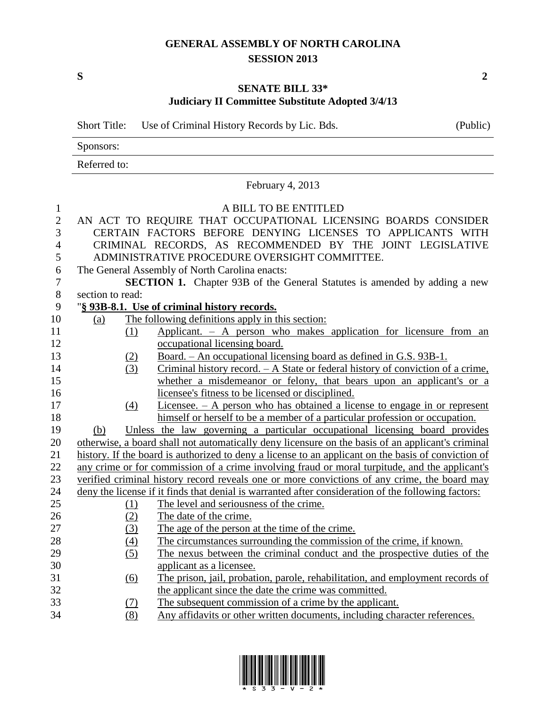## **GENERAL ASSEMBLY OF NORTH CAROLINA SESSION 2013**

**S 2**

## **SENATE BILL 33\* Judiciary II Committee Substitute Adopted 3/4/13**

Short Title: Use of Criminal History Records by Lic. Bds. (Public) Sponsors: Referred to: February 4, 2013 A BILL TO BE ENTITLED AN ACT TO REQUIRE THAT OCCUPATIONAL LICENSING BOARDS CONSIDER CERTAIN FACTORS BEFORE DENYING LICENSES TO APPLICANTS WITH CRIMINAL RECORDS, AS RECOMMENDED BY THE JOINT LEGISLATIVE ADMINISTRATIVE PROCEDURE OVERSIGHT COMMITTEE. The General Assembly of North Carolina enacts: **SECTION 1.** Chapter 93B of the General Statutes is amended by adding a new section to read: "**§ 93B-8.1. Use of criminal history records.** (a) The following definitions apply in this section: (1) Applicant. – A person who makes application for licensure from an occupational licensing board. (2) Board. – An occupational licensing board as defined in G.S. 93B-1. (3) Criminal history record. – A State or federal history of conviction of a crime, whether a misdemeanor or felony, that bears upon an applicant's or a licensee's fitness to be licensed or disciplined. (4) Licensee. – A person who has obtained a license to engage in or represent himself or herself to be a member of a particular profession or occupation. (b) Unless the law governing a particular occupational licensing board provides otherwise, a board shall not automatically deny licensure on the basis of an applicant's criminal history. If the board is authorized to deny a license to an applicant on the basis of conviction of any crime or for commission of a crime involving fraud or moral turpitude, and the applicant's verified criminal history record reveals one or more convictions of any crime, the board may deny the license if it finds that denial is warranted after consideration of the following factors: (1) The level and seriousness of the crime. 26 (2) The date of the crime. (3) The age of the person at the time of the crime. (4) The circumstances surrounding the commission of the crime, if known. (5) The nexus between the criminal conduct and the prospective duties of the applicant as a licensee. (6) The prison, jail, probation, parole, rehabilitation, and employment records of the applicant since the date the crime was committed. (7) The subsequent commission of a crime by the applicant. (8) Any affidavits or other written documents, including character references.